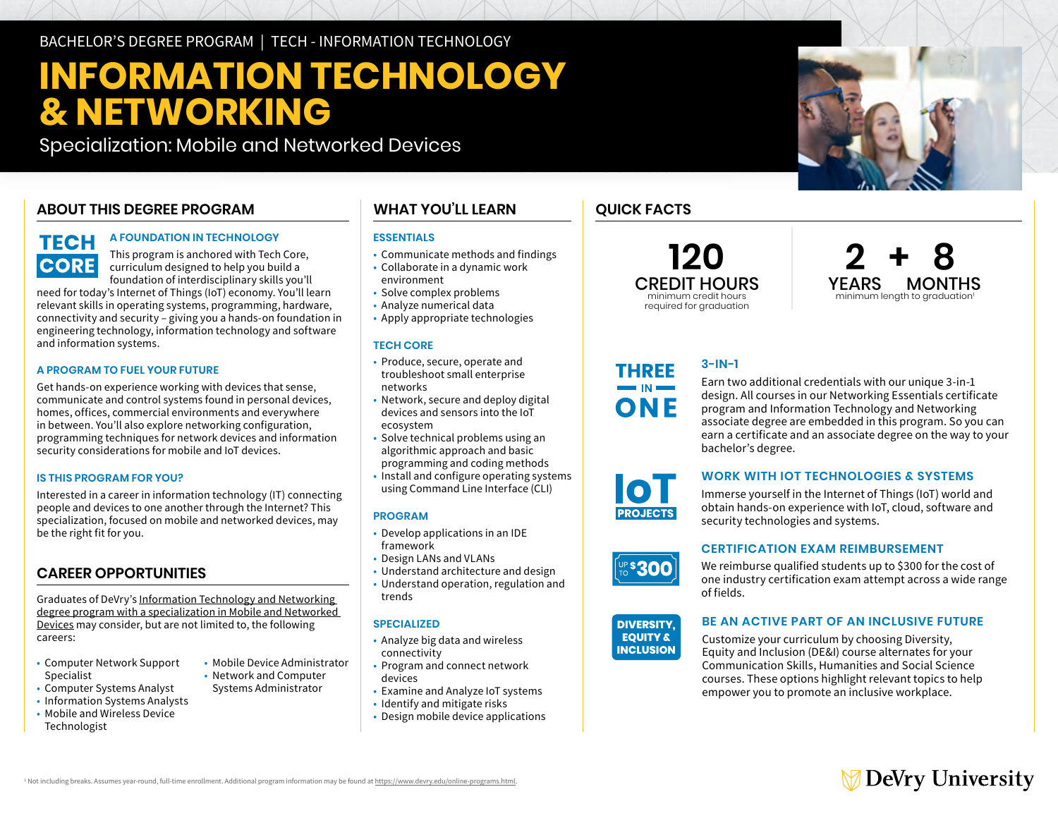BACHELOR'S DEGREE PROGRAM | TECH - INFORMATION TECHNOLOGY

# **INFORMATION TECHNOLOGY & NETWORKING**

Specialization: Mobile and Networked Devices

# **ABOUT THIS DEGREE PROGRAM**

# **TECH CORE**

#### **A FOUNDATION IN TECHNOLOGY**

This program is anchored with Tech Core, curriculum designed to help you build a foundation of interdisciplinary skills you'll

need for today's Internet of Things (IoT) economy. You'll learn relevant skills in operating systems, programming, hardware, connectivity and security – giving you a hands-on foundation in engineering technology, information technology and software and information systems.

#### **A PROGRAM TO FUEL YOUR FUTURE**

Get hands-on experience working with devices that sense, communicate and control systems found in personal devices, homes, offices, commercial environments and everywhere in between. You'll also explore networking configuration, programming techniques for network devices and information security considerations for mobile and IoT devices.

#### **IS THIS PROGRAM FOR YOU?**

Interested in a career in information technology (IT) connecting people and devices to one another through the Internet? This specialization, focused on mobile and networked devices, may be the right fit for you.

### **CAREER OPPORTUNITIES**

Graduates of DeVry's [Information Technology and Networking](https://www.devry.edu/online-programs/bachelors-degrees/information-technology-and-networking/mobile-and-networked-devices-specialization.html)  [degree program with a specialization in Mobile and Networked](https://www.devry.edu/online-programs/bachelors-degrees/information-technology-and-networking/mobile-and-networked-devices-specialization.html)  [Devices](https://www.devry.edu/online-programs/bachelors-degrees/information-technology-and-networking/mobile-and-networked-devices-specialization.html) may consider, but are not limited to, the following careers:

- • Computer Network Support Specialist
- Computer Systems Analyst
- Information Systems Analysts
- • Mobile and Wireless Device Technologist

## **WHAT YOU'LL LEARN**

#### **ESSENTIALS**

- Communicate methods and findings
- • Collaborate in a dynamic work environment
- 
- Solve complex problems
- • Analyze numerical data • Apply appropriate technologies

#### **TECH CORE**

- • Produce, secure, operate and troubleshoot small enterprise networks
- • Network, secure and deploy digital devices and sensors into the IoT ecosystem
- • Solve technical problems using an algorithmic approach and basic
- programming and coding methods
- • Install and configure operating systems using Command Line Interface (CLI)

#### **PROGRAM**

- • Develop applications in an IDE framework
- Design LANs and VLANs
- Understand architecture and design
- • Understand operation, regulation and trends

#### **SPECIALIZED**

- • Analyze big data and wireless connectivity
- • Program and connect network devices
- Examine and Analyze IoT systems
- Identify and mitigate risks
- Design mobile device applications

# **QUICK FACTS**

**120**  CREDIT HOURS minimum credit hours required for graduation



#### **3-IN-1 THREE**

Earn two additional credentials with our unique 3-in-1 design. All courses in our Networking Essentials certificate program and Information Technology and Networking associate degree are embedded in this program. So you can earn a certificate and an associate degree on the way to your bachelor's degree.

# **WORK WITH IOT TECHNOLOGIES & SYSTEMS**

Immerse yourself in the Internet of Things (IoT) world and obtain hands-on experience with IoT, cloud, software and security technologies and systems.

#### **CERTIFICATION EXAM REIMBURSEMENT**

**DIVERSITY,** We reimburse qualified students up to \$300 for the cost of **INCLUSION** one industry certification exam attempt across a wide range of fields.



# **BE AN ACTIVE PART OF AN INCLUSIVE FUTURE**<br>**EQUITY &** Customize your curriculum by choosing Diversity.

Customize your curriculum by choosing Diversity, Equity and Inclusion (DE&I) course alternates for your Communication Skills, Humanities and Social Science courses. These options highlight relevant topics to help empower you to promote an inclusive workplace.

• Mobile Device Administrator • Network and Computer Systems Administrator





 $\blacksquare$  IN  $\blacksquare$ ONE

**EQUITY & INSERIES**